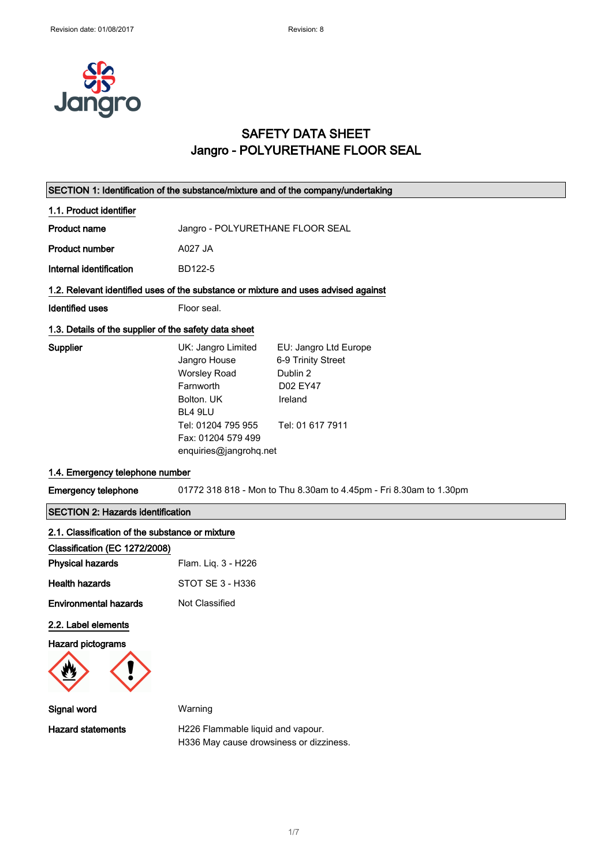

## SAFETY DATA SHEET Jangro - POLYURETHANE FLOOR SEAL

| SECTION 1: Identification of the substance/mixture and of the company/undertaking  |                                                                                                                                                                       |                                                                                                    |
|------------------------------------------------------------------------------------|-----------------------------------------------------------------------------------------------------------------------------------------------------------------------|----------------------------------------------------------------------------------------------------|
| 1.1. Product identifier                                                            |                                                                                                                                                                       |                                                                                                    |
| <b>Product name</b>                                                                | Jangro - POLYURETHANE FLOOR SEAL                                                                                                                                      |                                                                                                    |
| <b>Product number</b>                                                              | A027 JA                                                                                                                                                               |                                                                                                    |
| Internal identification                                                            | BD122-5                                                                                                                                                               |                                                                                                    |
| 1.2. Relevant identified uses of the substance or mixture and uses advised against |                                                                                                                                                                       |                                                                                                    |
| <b>Identified uses</b>                                                             | Floor seal.                                                                                                                                                           |                                                                                                    |
| 1.3. Details of the supplier of the safety data sheet                              |                                                                                                                                                                       |                                                                                                    |
| Supplier                                                                           | UK: Jangro Limited<br>Jangro House<br><b>Worsley Road</b><br>Farnworth<br>Bolton, UK<br>BL4 9LU<br>Tel: 01204 795 955<br>Fax: 01204 579 499<br>enquiries@jangrohq.net | EU: Jangro Ltd Europe<br>6-9 Trinity Street<br>Dublin 2<br>D02 EY47<br>Ireland<br>Tel: 01 617 7911 |
| 1.4. Emergency telephone number                                                    |                                                                                                                                                                       |                                                                                                    |
| <b>Emergency telephone</b>                                                         |                                                                                                                                                                       | 01772 318 818 - Mon to Thu 8.30am to 4.45pm - Fri 8.30am to 1.30pm                                 |
| <b>SECTION 2: Hazards identification</b>                                           |                                                                                                                                                                       |                                                                                                    |
| 2.1. Classification of the substance or mixture                                    |                                                                                                                                                                       |                                                                                                    |
| Classification (EC 1272/2008)                                                      |                                                                                                                                                                       |                                                                                                    |
| <b>Physical hazards</b>                                                            | Flam. Liq. 3 - H226                                                                                                                                                   |                                                                                                    |
| <b>Health hazards</b>                                                              | STOT SE 3 - H336                                                                                                                                                      |                                                                                                    |
| <b>Environmental hazards</b>                                                       | Not Classified                                                                                                                                                        |                                                                                                    |
| 2.2. Label elements                                                                |                                                                                                                                                                       |                                                                                                    |
| Hazard pictograms                                                                  |                                                                                                                                                                       |                                                                                                    |
| Signal word                                                                        | Warning                                                                                                                                                               |                                                                                                    |
| <b>Hazard statements</b>                                                           | H226 Flammable liquid and vapour.<br>H336 May cause drowsiness or dizziness.                                                                                          |                                                                                                    |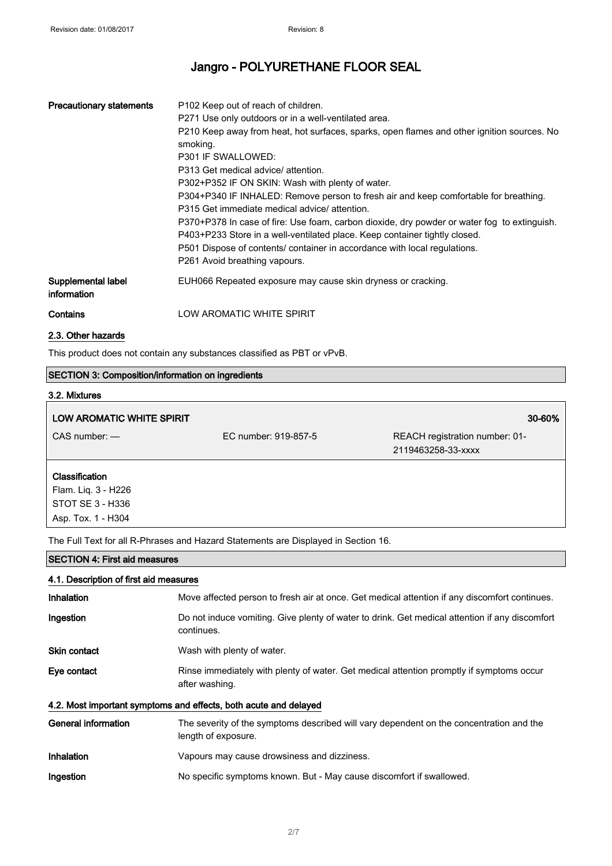| <b>Precautionary statements</b>   | P <sub>102</sub> Keep out of reach of children.<br>P271 Use only outdoors or in a well-ventilated area.<br>P210 Keep away from heat, hot surfaces, sparks, open flames and other ignition sources. No<br>smoking.<br>P301 IF SWALLOWED:<br>P313 Get medical advice/ attention.<br>P302+P352 IF ON SKIN: Wash with plenty of water.<br>P304+P340 IF INHALED: Remove person to fresh air and keep comfortable for breathing.<br>P315 Get immediate medical advice/attention.<br>P370+P378 In case of fire: Use foam, carbon dioxide, dry powder or water fog to extinguish.<br>P403+P233 Store in a well-ventilated place. Keep container tightly closed.<br>P501 Dispose of contents/ container in accordance with local regulations.<br>P261 Avoid breathing vapours. |
|-----------------------------------|-----------------------------------------------------------------------------------------------------------------------------------------------------------------------------------------------------------------------------------------------------------------------------------------------------------------------------------------------------------------------------------------------------------------------------------------------------------------------------------------------------------------------------------------------------------------------------------------------------------------------------------------------------------------------------------------------------------------------------------------------------------------------|
| Supplemental label<br>information | EUH066 Repeated exposure may cause skin dryness or cracking.                                                                                                                                                                                                                                                                                                                                                                                                                                                                                                                                                                                                                                                                                                          |
| Contains                          | LOW AROMATIC WHITE SPIRIT                                                                                                                                                                                                                                                                                                                                                                                                                                                                                                                                                                                                                                                                                                                                             |

### 2.3. Other hazards

Е

This product does not contain any substances classified as PBT or vPvB.

### SECTION 3: Composition/information on ingredients

# 3.2. Mixtures

| LOW AROMATIC WHITE SPIRIT                                                              |                      | 30-60%                                               |
|----------------------------------------------------------------------------------------|----------------------|------------------------------------------------------|
| $CAS$ number: $-$                                                                      | EC number: 919-857-5 | REACH registration number: 01-<br>2119463258-33-xxxx |
| <b>Classification</b><br>Flam. Liq. 3 - H226<br>STOT SE 3 - H336<br>Asp. Tox. 1 - H304 |                      |                                                      |

The Full Text for all R-Phrases and Hazard Statements are Displayed in Section 16.

## SECTION 4: First aid measures

| 4.1. Description of first aid measures |                                                                                                                |
|----------------------------------------|----------------------------------------------------------------------------------------------------------------|
| Inhalation                             | Move affected person to fresh air at once. Get medical attention if any discomfort continues.                  |
| Ingestion                              | Do not induce vomiting. Give plenty of water to drink. Get medical attention if any discomfort<br>continues.   |
| Skin contact                           | Wash with plenty of water.                                                                                     |
| Eye contact                            | Rinse immediately with plenty of water. Get medical attention promptly if symptoms occur<br>after washing.     |
|                                        | 4.2. Most important symptoms and effects, both acute and delayed                                               |
| General information                    | The severity of the symptoms described will vary dependent on the concentration and the<br>length of exposure. |
| <b>Inhalation</b>                      | Vapours may cause drowsiness and dizziness.                                                                    |
| Ingestion                              | No specific symptoms known. But - May cause discomfort if swallowed.                                           |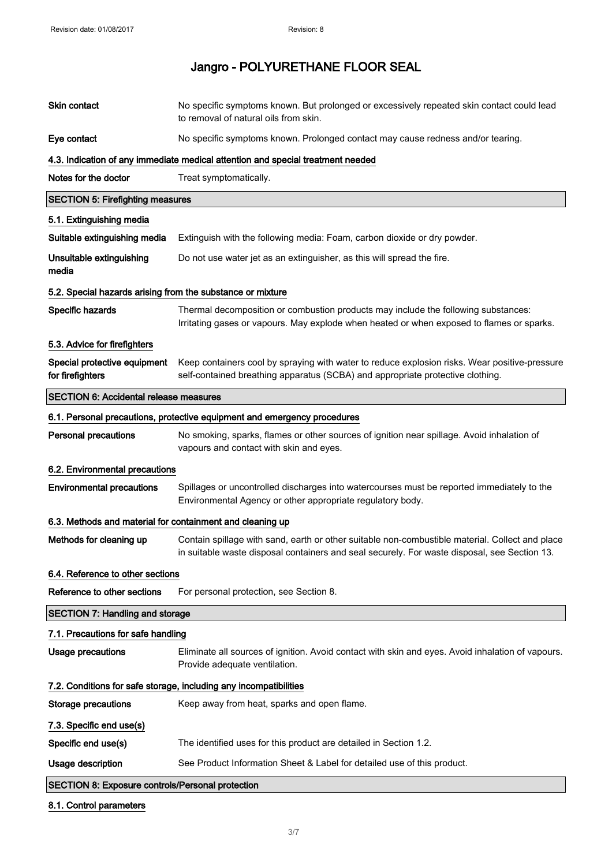| Skin contact                                                      | No specific symptoms known. But prolonged or excessively repeated skin contact could lead<br>to removal of natural oils from skin.                                                              |  |
|-------------------------------------------------------------------|-------------------------------------------------------------------------------------------------------------------------------------------------------------------------------------------------|--|
| Eye contact                                                       | No specific symptoms known. Prolonged contact may cause redness and/or tearing.                                                                                                                 |  |
|                                                                   | 4.3. Indication of any immediate medical attention and special treatment needed                                                                                                                 |  |
| Notes for the doctor                                              | Treat symptomatically.                                                                                                                                                                          |  |
| <b>SECTION 5: Firefighting measures</b>                           |                                                                                                                                                                                                 |  |
| 5.1. Extinguishing media                                          |                                                                                                                                                                                                 |  |
| Suitable extinguishing media                                      | Extinguish with the following media: Foam, carbon dioxide or dry powder.                                                                                                                        |  |
| Unsuitable extinguishing<br>media                                 | Do not use water jet as an extinguisher, as this will spread the fire.                                                                                                                          |  |
| 5.2. Special hazards arising from the substance or mixture        |                                                                                                                                                                                                 |  |
| Specific hazards                                                  | Thermal decomposition or combustion products may include the following substances:<br>Irritating gases or vapours. May explode when heated or when exposed to flames or sparks.                 |  |
| 5.3. Advice for firefighters                                      |                                                                                                                                                                                                 |  |
| Special protective equipment<br>for firefighters                  | Keep containers cool by spraying with water to reduce explosion risks. Wear positive-pressure<br>self-contained breathing apparatus (SCBA) and appropriate protective clothing.                 |  |
| <b>SECTION 6: Accidental release measures</b>                     |                                                                                                                                                                                                 |  |
|                                                                   | 6.1. Personal precautions, protective equipment and emergency procedures                                                                                                                        |  |
| <b>Personal precautions</b>                                       | No smoking, sparks, flames or other sources of ignition near spillage. Avoid inhalation of<br>vapours and contact with skin and eyes.                                                           |  |
| 6.2. Environmental precautions                                    |                                                                                                                                                                                                 |  |
| <b>Environmental precautions</b>                                  | Spillages or uncontrolled discharges into watercourses must be reported immediately to the<br>Environmental Agency or other appropriate regulatory body.                                        |  |
| 6.3. Methods and material for containment and cleaning up         |                                                                                                                                                                                                 |  |
| Methods for cleaning up                                           | Contain spillage with sand, earth or other suitable non-combustible material. Collect and place<br>in suitable waste disposal containers and seal securely. For waste disposal, see Section 13. |  |
| 6.4. Reference to other sections                                  |                                                                                                                                                                                                 |  |
| Reference to other sections                                       | For personal protection, see Section 8.                                                                                                                                                         |  |
| <b>SECTION 7: Handling and storage</b>                            |                                                                                                                                                                                                 |  |
| 7.1. Precautions for safe handling                                |                                                                                                                                                                                                 |  |
| <b>Usage precautions</b>                                          | Eliminate all sources of ignition. Avoid contact with skin and eyes. Avoid inhalation of vapours.<br>Provide adequate ventilation.                                                              |  |
| 7.2. Conditions for safe storage, including any incompatibilities |                                                                                                                                                                                                 |  |
| <b>Storage precautions</b>                                        | Keep away from heat, sparks and open flame.                                                                                                                                                     |  |
| 7.3. Specific end use(s)                                          |                                                                                                                                                                                                 |  |
| Specific end use(s)                                               | The identified uses for this product are detailed in Section 1.2.                                                                                                                               |  |
| Usage description                                                 | See Product Information Sheet & Label for detailed use of this product.                                                                                                                         |  |
| <b>SECTION 8: Exposure controls/Personal protection</b>           |                                                                                                                                                                                                 |  |

### 8.1. Control parameters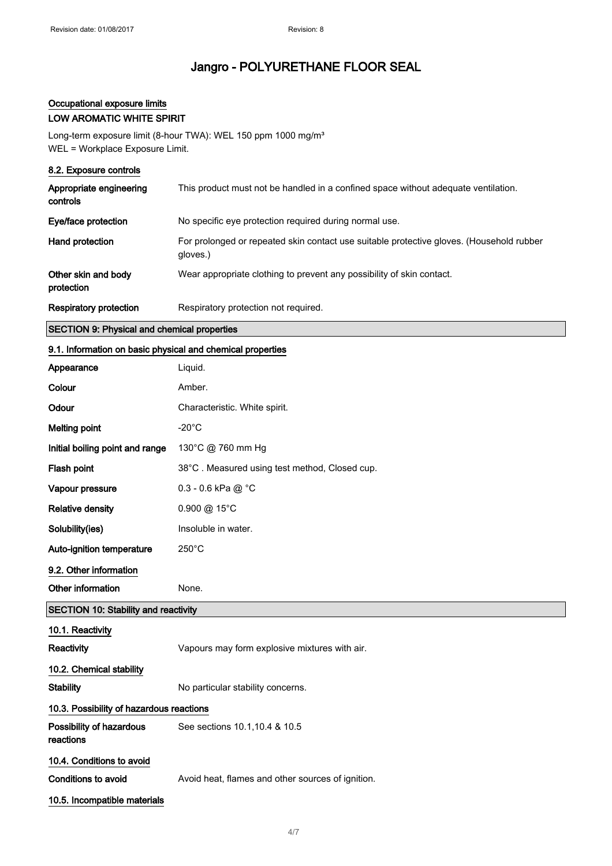## Occupational exposure limits

## LOW AROMATIC WHITE SPIRIT

Long-term exposure limit (8-hour TWA): WEL 150 ppm 1000 mg/m<sup>3</sup> WEL = Workplace Exposure Limit.

| 8.2. Exposure controls              |                                                                                                      |
|-------------------------------------|------------------------------------------------------------------------------------------------------|
| Appropriate engineering<br>controls | This product must not be handled in a confined space without adequate ventilation.                   |
| Eye/face protection                 | No specific eye protection required during normal use.                                               |
| Hand protection                     | For prolonged or repeated skin contact use suitable protective gloves. (Household rubber<br>gloves.) |
| Other skin and body<br>protection   | Wear appropriate clothing to prevent any possibility of skin contact.                                |
| Respiratory protection              | Respiratory protection not required.                                                                 |

### SECTION 9: Physical and chemical properties

### 9.1. Information on basic physical and chemical properties

| Appearance                                  | Liquid.                                           |
|---------------------------------------------|---------------------------------------------------|
| Colour                                      | Amber.                                            |
| Odour                                       | Characteristic. White spirit.                     |
| <b>Melting point</b>                        | $-20^{\circ}$ C                                   |
| Initial boiling point and range             | 130°C @ 760 mm Hg                                 |
| Flash point                                 | 38°C. Measured using test method, Closed cup.     |
| Vapour pressure                             | 0.3 - 0.6 kPa @ °C                                |
| <b>Relative density</b>                     | 0.900 @ 15°C                                      |
| Solubility(ies)                             | Insoluble in water.                               |
| Auto-ignition temperature                   | $250^{\circ}$ C                                   |
| 9.2. Other information                      |                                                   |
| Other information                           | None.                                             |
|                                             |                                                   |
| <b>SECTION 10: Stability and reactivity</b> |                                                   |
| 10.1. Reactivity                            |                                                   |
| Reactivity                                  | Vapours may form explosive mixtures with air.     |
| 10.2. Chemical stability                    |                                                   |
| <b>Stability</b>                            | No particular stability concerns.                 |
| 10.3. Possibility of hazardous reactions    |                                                   |
| Possibility of hazardous<br>reactions       | See sections 10.1, 10.4 & 10.5                    |
| 10.4. Conditions to avoid                   |                                                   |
| <b>Conditions to avoid</b>                  | Avoid heat, flames and other sources of ignition. |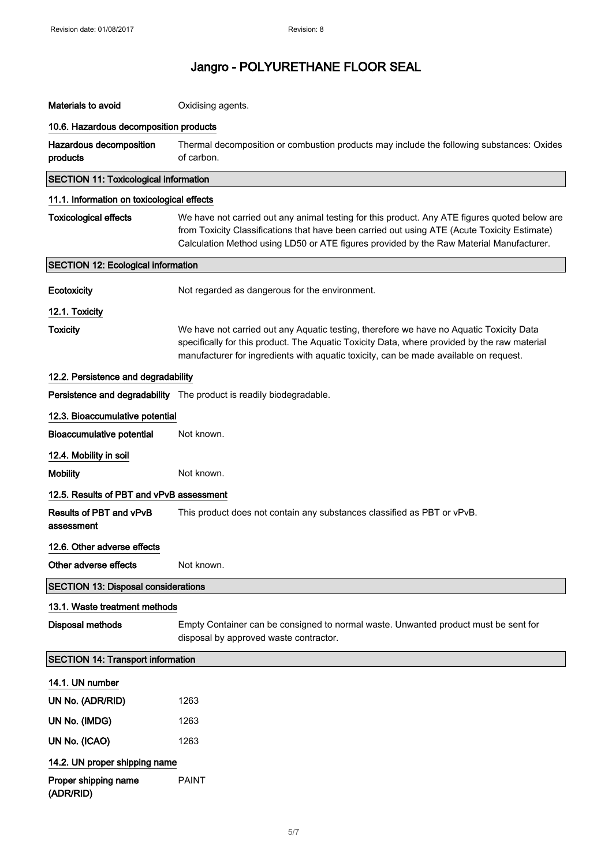| Materials to avoid                           | Oxidising agents.                                                                                                                                                                                                                                                                        |
|----------------------------------------------|------------------------------------------------------------------------------------------------------------------------------------------------------------------------------------------------------------------------------------------------------------------------------------------|
| 10.6. Hazardous decomposition products       |                                                                                                                                                                                                                                                                                          |
| Hazardous decomposition<br>products          | Thermal decomposition or combustion products may include the following substances: Oxides<br>of carbon.                                                                                                                                                                                  |
| <b>SECTION 11: Toxicological information</b> |                                                                                                                                                                                                                                                                                          |
| 11.1. Information on toxicological effects   |                                                                                                                                                                                                                                                                                          |
| <b>Toxicological effects</b>                 | We have not carried out any animal testing for this product. Any ATE figures quoted below are<br>from Toxicity Classifications that have been carried out using ATE (Acute Toxicity Estimate)<br>Calculation Method using LD50 or ATE figures provided by the Raw Material Manufacturer. |
| <b>SECTION 12: Ecological information</b>    |                                                                                                                                                                                                                                                                                          |
| Ecotoxicity                                  | Not regarded as dangerous for the environment.                                                                                                                                                                                                                                           |
| 12.1. Toxicity                               |                                                                                                                                                                                                                                                                                          |
| <b>Toxicity</b>                              | We have not carried out any Aquatic testing, therefore we have no Aquatic Toxicity Data<br>specifically for this product. The Aquatic Toxicity Data, where provided by the raw material<br>manufacturer for ingredients with aquatic toxicity, can be made available on request.         |
| 12.2. Persistence and degradability          |                                                                                                                                                                                                                                                                                          |
|                                              | Persistence and degradability The product is readily biodegradable.                                                                                                                                                                                                                      |
| 12.3. Bioaccumulative potential              |                                                                                                                                                                                                                                                                                          |
| <b>Bioaccumulative potential</b>             | Not known.                                                                                                                                                                                                                                                                               |
| 12.4. Mobility in soil                       |                                                                                                                                                                                                                                                                                          |
| <b>Mobility</b>                              | Not known.                                                                                                                                                                                                                                                                               |
| 12.5. Results of PBT and vPvB assessment     |                                                                                                                                                                                                                                                                                          |
| Results of PBT and vPvB<br>assessment        | This product does not contain any substances classified as PBT or vPvB.                                                                                                                                                                                                                  |
| 12.6. Other adverse effects                  |                                                                                                                                                                                                                                                                                          |
| Other adverse effects                        | Not known.                                                                                                                                                                                                                                                                               |
| <b>SECTION 13: Disposal considerations</b>   |                                                                                                                                                                                                                                                                                          |
| 13.1. Waste treatment methods                |                                                                                                                                                                                                                                                                                          |
| <b>Disposal methods</b>                      | Empty Container can be consigned to normal waste. Unwanted product must be sent for<br>disposal by approved waste contractor.                                                                                                                                                            |
| <b>SECTION 14: Transport information</b>     |                                                                                                                                                                                                                                                                                          |
| 14.1. UN number                              |                                                                                                                                                                                                                                                                                          |
| UN No. (ADR/RID)                             | 1263                                                                                                                                                                                                                                                                                     |
| UN No. (IMDG)                                | 1263                                                                                                                                                                                                                                                                                     |
| UN No. (ICAO)                                | 1263                                                                                                                                                                                                                                                                                     |
| 14.2. UN proper shipping name                |                                                                                                                                                                                                                                                                                          |
| Proper shipping name<br>(ADR/RID)            | <b>PAINT</b>                                                                                                                                                                                                                                                                             |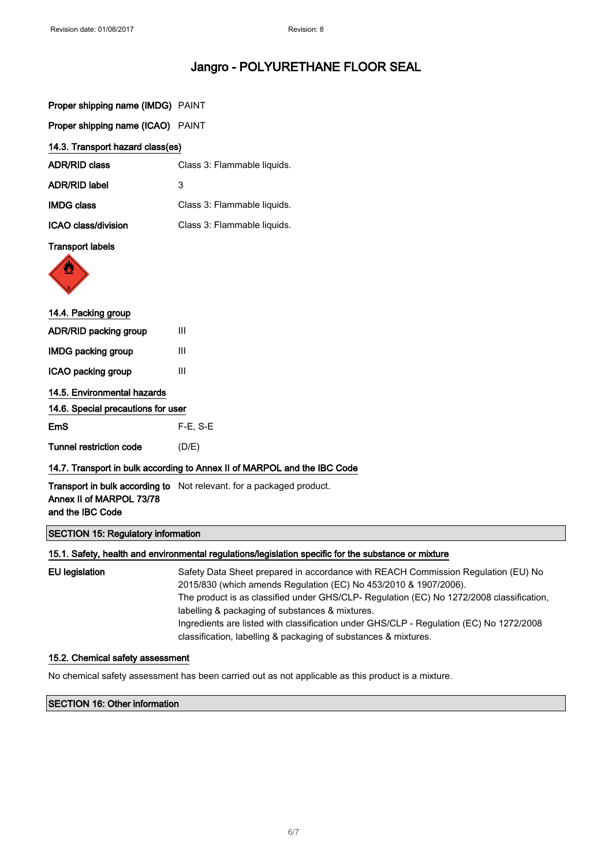| Proper shipping name (IMDG) PAINT                                        |                                                                      |  |
|--------------------------------------------------------------------------|----------------------------------------------------------------------|--|
| Proper shipping name (ICAO) PAINT                                        |                                                                      |  |
| 14.3. Transport hazard class(es)                                         |                                                                      |  |
| <b>ADR/RID class</b>                                                     | Class 3: Flammable liquids.                                          |  |
| <b>ADR/RID label</b>                                                     | 3                                                                    |  |
| <b>IMDG class</b>                                                        | Class 3: Flammable liquids.                                          |  |
| <b>ICAO class/division</b>                                               | Class 3: Flammable liquids.                                          |  |
| <b>Transport labels</b>                                                  |                                                                      |  |
| 14.4. Packing group                                                      |                                                                      |  |
| ADR/RID packing group                                                    | III                                                                  |  |
| <b>IMDG packing group</b>                                                | III                                                                  |  |
| ICAO packing group                                                       | III                                                                  |  |
| 14.5. Environmental hazards                                              |                                                                      |  |
| 14.6. Special precautions for user                                       |                                                                      |  |
| <b>EmS</b>                                                               | $F-E$ , S-E                                                          |  |
| <b>Tunnel restriction code</b>                                           | (D/E)                                                                |  |
| 14.7. Transport in bulk according to Annex II of MARPOL and the IBC Code |                                                                      |  |
| Annex II of MARPOL 73/78<br>and the IBC Code                             | Transport in bulk according to Not relevant. for a packaged product. |  |
| <b>SECTION 15: Regulatory information</b>                                |                                                                      |  |

#### 15.1. Safety, health and environmental regulations/legislation specific for the substance or mixture

EU legislation Safety Data Sheet prepared in accordance with REACH Commission Regulation (EU) No 2015/830 (which amends Regulation (EC) No 453/2010 & 1907/2006). The product is as classified under GHS/CLP- Regulation (EC) No 1272/2008 classification, labelling & packaging of substances & mixtures. Ingredients are listed with classification under GHS/CLP - Regulation (EC) No 1272/2008 classification, labelling & packaging of substances & mixtures.

## 15.2. Chemical safety assessment

No chemical safety assessment has been carried out as not applicable as this product is a mixture.

### SECTION 16: Other information